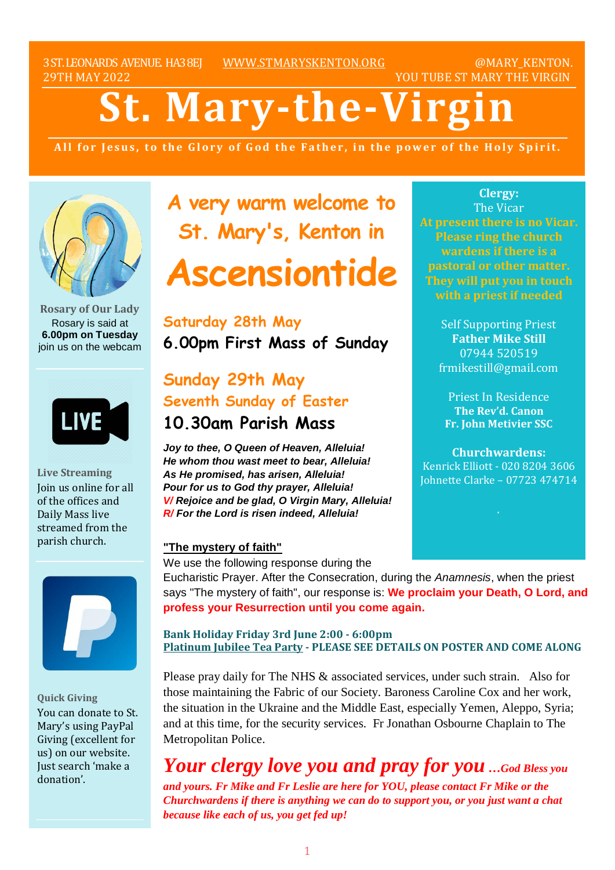3ST.LEONARDS AVENUE. HA38EJ [WWW.STMARYSKENTON.ORG](http://www.stmaryskenton.org/) @MARY\_KENTON. 29TH MAY 2022 YOU TUBE ST MARY THE VIRGIN

# **St. Mary-the-Virgi**

All for Jesus, to the Glory of God the Father, in the power of the Holy Spirit.



**Rosary of Our Lady** Rosary is said at **6.00pm on Tuesday** join us on the webcam



**Live Streaming** Join us online for all of the offices and Daily Mass live streamed from the parish church.



**Quick Giving** You can donate to St. Mary's using PayPal Giving (excellent for us) on our website. Just search 'make a donation'.

**A very warm welcome to St. Mary's, Kenton in**

# **Ascensiontide**

**Saturday 28th May 6.00pm First Mass of Sunday**

# **Sunday 29th May Seventh Sunday of Easter 10.30am Parish Mass**

*Joy to thee, O Queen of Heaven, Alleluia! He whom thou wast meet to bear, Alleluia! As He promised, has arisen, Alleluia! Pour for us to God thy prayer, Alleluia! V/ Rejoice and be glad, O Virgin Mary, Alleluia! R/ For the Lord is risen indeed, Alleluia!*

#### **"The mystery of faith"**

We use the following response during the

**Clergy:** The Vicar **At present there is no Vicar. Please ring the church wardens if there is a pastoral or other matter. They will put you in touch**

> Self Supporting Priest **Father Mike Still** 07944 520519 frmikestill@gmail.com

Priest In Residence **The Rev'd. Canon Fr. John Metivier SSC**

**Churchwardens:** Kenrick Elliott - 020 8204 3606 Johnette Clarke – 07723 474714

Eucharistic Prayer. After the Consecration, during the *Anamnesis*, when the priest says "The mystery of faith", our response is: **We proclaim your Death, O Lord, and profess your Resurrection until you come again.** 

**Bank Holiday Friday 3rd June 2:00 - 6:00pm Platinum Jubilee Tea Party - PLEASE SEE DETAILS ON POSTER AND COME ALONG**

Please pray daily for The NHS & associated services, under such strain. Also for those maintaining the Fabric of our Society. Baroness Caroline Cox and her work, the situation in the Ukraine and the Middle East, especially Yemen, Aleppo, Syria; and at this time, for the security services. Fr Jonathan Osbourne Chaplain to The Metropolitan Police.

*Your clergy love you and pray for you …God Bless you and yours. Fr Mike and Fr Leslie are here for YOU, please contact Fr Mike or the Churchwardens if there is anything we can do to support you, or you just want a chat because like each of us, you get fed up!*